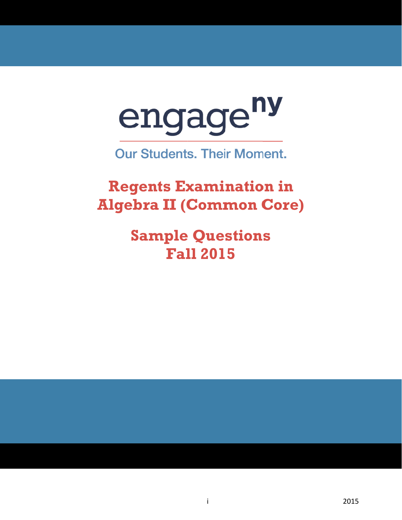

**Our Students. Their Moment.** 

**Regents Examination in Al gebr a II (C Comm mon C Core)**

> **Sample Questions Fal ll 201 5**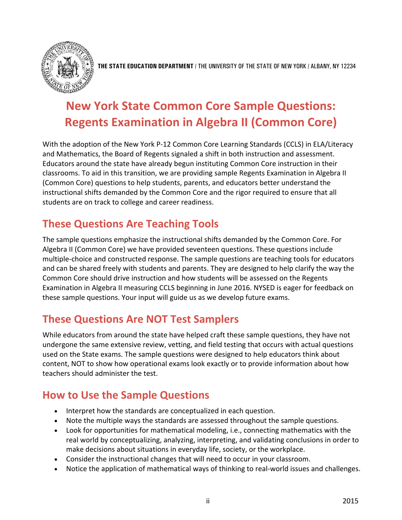

**THE STATE EDUCATION DEPARTMENT** / THE UNIVERSITY OF THE STATE OF NEW YORK / ALBANY, NY 12234

# **New York State Common Core Sample Questions: Regents Examination in Algebra II (Common Core)**

With the adoption of the New York P-12 Common Core Learning Standards (CCLS) in ELA/Literacy and Mathematics, the Board of Regents signaled a shift in both instruction and assessment. Educators around the state have already begun instituting Common Core instruction in their classrooms. To aid in this transition, we are providing sample Regents Examination in Algebra II (Common Core) questions to help students, parents, and educators better understand the instructional shifts demanded by the Common Core and the rigor required to ensure that all students are on track to college and career readiness.

# **These Questions Are Teaching Tools**

The sample questions emphasize the instructional shifts demanded by the Common Core. For Algebra II (Common Core) we have provided seventeen questions. These questions include multiple-choice and constructed response. The sample questions are teaching tools for educators and can be shared freely with students and parents. They are designed to help clarify the way the Common Core should drive instruction and how students will be assessed on the Regents Examination in Algebra II measuring CCLS beginning in June 2016. NYSED is eager for feedback on these sample questions. Your input will guide us as we develop future exams.

# **These Questions Are NOT Test Samplers**

While educators from around the state have helped craft these sample questions, they have not undergone the same extensive review, vetting, and field testing that occurs with actual questions used on the State exams. The sample questions were designed to help educators think about content, NOT to show how operational exams look exactly or to provide information about how teachers should administer the test.

# **How to Use the Sample Questions**

- Interpret how the standards are conceptualized in each question.
- Note the multiple ways the standards are assessed throughout the sample questions.
- Look for opportunities for mathematical modeling, i.e., connecting mathematics with the real world by conceptualizing, analyzing, interpreting, and validating conclusions in order to make decisions about situations in everyday life, society, or the workplace.
- Consider the instructional changes that will need to occur in your classroom.
- Notice the application of mathematical ways of thinking to real-world issues and challenges.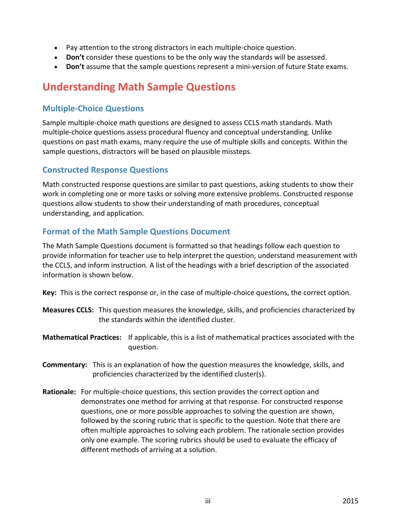- Pay attention to the strong distractors in each multiple-choice question.
- **Don't** consider these questions to be the only way the standards will be assessed.
- **Don't** assume that the sample questions represent a mini-version of future State exams.

# **Understanding Math Sample Questions**

## **Multiple-Choice Questions**

Sample multiple-choice math questions are designed to assess CCLS math standards. Math multiple-choice questions assess procedural fluency and conceptual understanding. Unlike questions on past math exams, many require the use of multiple skills and concepts. Within the sample questions, distractors will be based on plausible missteps.

## **Constructed Response Questions**

Math constructed response questions are similar to past questions, asking students to show their work in completing one or more tasks or solving more extensive problems. Constructed response questions allow students to show their understanding of math procedures, conceptual understanding, and application.

## **Format of the Math Sample Questions Document**

The Math Sample Questions document is formatted so that headings follow each question to provide information for teacher use to help interpret the question, understand measurement with the CCLS, and inform instruction. A list of the headings with a brief description of the associated information is shown below.

**Key:** This is the correct response or, in the case of multiple-choice questions, the correct option.

- **Measures CCLS:** This question measures the knowledge, skills, and proficiencies characterized by the standards within the identified cluster.
- **Mathematical Practices:** If applicable, this is a list of mathematical practices associated with the question.
- **Commentary:** This is an explanation of how the question measures the knowledge, skills, and proficiencies characterized by the identified cluster(s).
- **Rationale:** For multiple-choice questions, this section provides the correct option and demonstrates one method for arriving at that response. For constructed response questions, one or more possible approaches to solving the question are shown, followed by the scoring rubric that is specific to the question. Note that there are often multiple approaches to solving each problem. The rationale section provides only one example. The scoring rubrics should be used to evaluate the efficacy of different methods of arriving at a solution.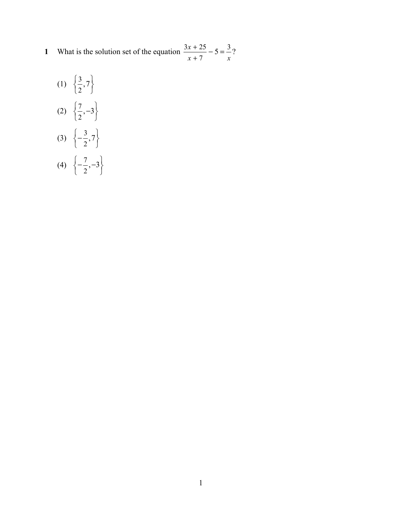- **1** What is the solution set of the equation  $\frac{3x+25}{5} 5 = \frac{3}{5}$ 7  $\frac{x+25}{2} - 5 = \frac{3}{2}$ ?  $x + 7$  *x*  $\frac{+25}{+7} - 5 =$ 
	- $(1) \begin{cases} \frac{3}{2} \end{cases}$  $\left\{\frac{3}{2}, 7\right\}$  $(2) \begin{array}{c} 7 \\ -7 \end{array}$  $\left\{\frac{7}{2}, -3\right\}$ (3)  $\begin{cases} -\frac{3}{5} \end{cases}$  $\left\{-\frac{3}{2}, 7\right\}$  $\begin{pmatrix} 2' \end{pmatrix}$
	- (4)  $\begin{cases} -\frac{7}{5} \end{cases}$  $\left\{-\frac{7}{2}, -3\right\}$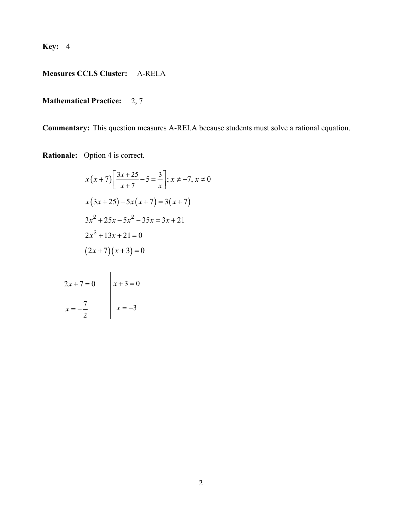# **Measures CCLS Cluster:** A-REI.A

## **Mathematical Practice:** 2, 7

**Commentary:** This question measures A-REI.A because students must solve a rational equation.

**Rationale:** Option 4 is correct.

$$
x(x+7)\left[\frac{3x+25}{x+7} - 5 = \frac{3}{x}\right]; x \neq -7, x \neq 0
$$
  

$$
x(3x+25) - 5x(x+7) = 3(x+7)
$$
  

$$
3x^2 + 25x - 5x^2 - 35x = 3x + 21
$$
  

$$
2x^2 + 13x + 21 = 0
$$
  

$$
(2x+7)(x+3) = 0
$$

$$
2x + 7 = 0
$$
  

$$
x = -\frac{7}{2}
$$
  

$$
x = -3
$$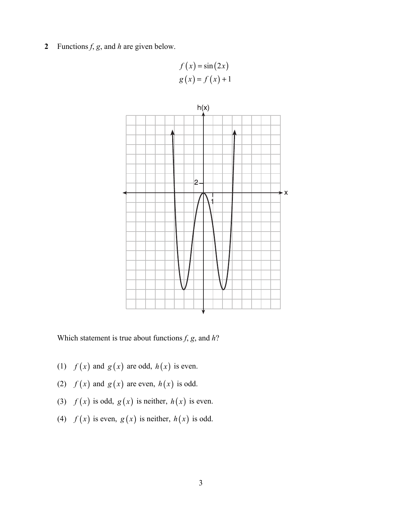**2** Functions *f*, *g*, and *h* are given below.

 $f(x) = \sin(2x)$  $g(x) = f(x) + 1$ 



Which statement is true about functions *f*, *g*, and *h*?

- (1)  $f(x)$  and  $g(x)$  are odd,  $h(x)$  is even.
- (2)  $f(x)$  and  $g(x)$  are even,  $h(x)$  is odd.
- (3)  $f(x)$  is odd,  $g(x)$  is neither,  $h(x)$  is even.
- (4)  $f(x)$  is even,  $g(x)$  is neither,  $h(x)$  is odd.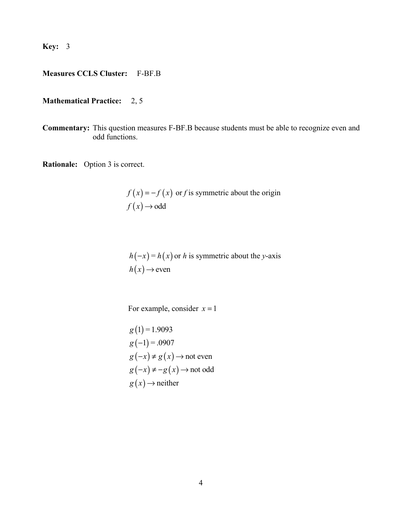## **Measures CCLS Cluster:** F-BF.B

## **Mathematical Practice:** 2, 5

**Commentary:** This question measures F-BF.B because students must be able to recognize even and odd functions.

**Rationale:** Option 3 is correct.

 $f(x) = -f(x)$  or *f* is symmetric about the origin  $f(x) \rightarrow \text{odd}$ 

 $h(-x) = h(x)$  or *h* is symmetric about the *y*-axis  $h(x) \rightarrow e$ ven

For example, consider  $x = 1$ 

$$
g(1) = 1.9093
$$
  
\n
$$
g(-1) = .0907
$$
  
\n
$$
g(-x) \neq g(x) \rightarrow \text{not even}
$$
  
\n
$$
g(-x) \neq -g(x) \rightarrow \text{not odd}
$$
  
\n
$$
g(x) \rightarrow \text{neither}
$$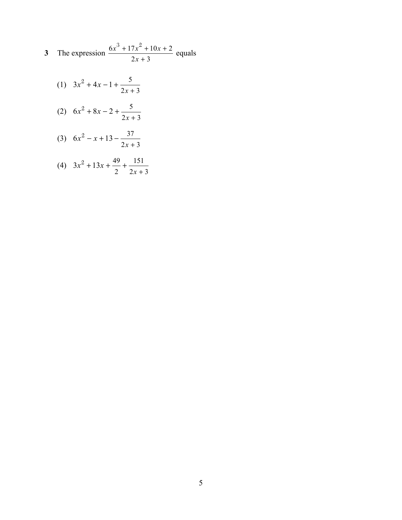3 The expression 
$$
\frac{6x^3 + 17x^2 + 10x + 2}{2x + 3}
$$
 equals

2  $2x+3$ 

*x*

 $\ddot{}$ 

(1) 
$$
3x^2 + 4x - 1 + \frac{5}{2x + 3}
$$
  
\n(2)  $6x^2 + 8x - 2 + \frac{5}{2x + 3}$   
\n(3)  $6x^2 - x + 13 - \frac{37}{2x + 3}$   
\n(4)  $3x^2 + 13x + \frac{49}{3} + \frac{151}{3}$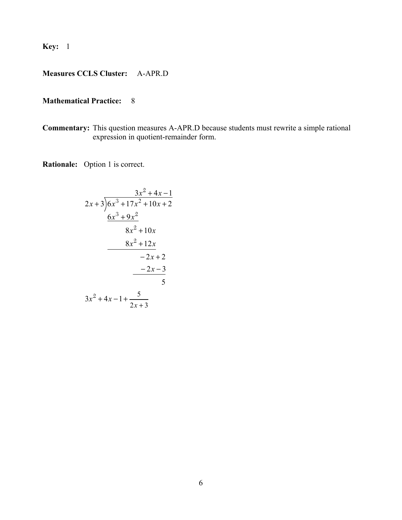# **Measures CCLS Cluster:** A-APR.D

### **Mathematical Practice:** 8

**Commentary:** This question measures A-APR.D because students must rewrite a simple rational expression in quotient-remainder form.

**Rationale:** Option 1 is correct.

$$
\begin{array}{r} 3x^2 + 4x - 1 \\ 2x + 3 \overline{\smash{\big)}6x^3 + 17x^2 + 10x + 2} \\ \underline{6x^3 + 9x^2} \\ 8x^2 + 10x \\ \underline{8x^2 + 12x} \\ -2x + 2 \\ \underline{-2x - 3} \\ 5 \\ 3x^2 + 4x - 1 + \frac{5}{2x + 3} \end{array}
$$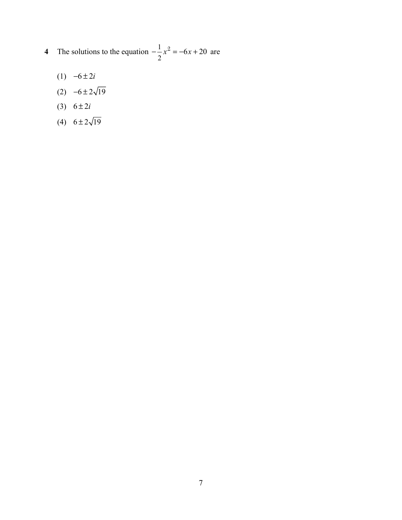- **4** The solutions to the equation  $-\frac{1}{2}$ 2  $-\frac{1}{x}x^2 = -6x + 20$  are
	- (1)  $-6 \pm 2i$
	- (2)  $-6 \pm 2\sqrt{19}$
	- (3)  $6 \pm 2i$
	- (4)  $6 \pm 2\sqrt{19}$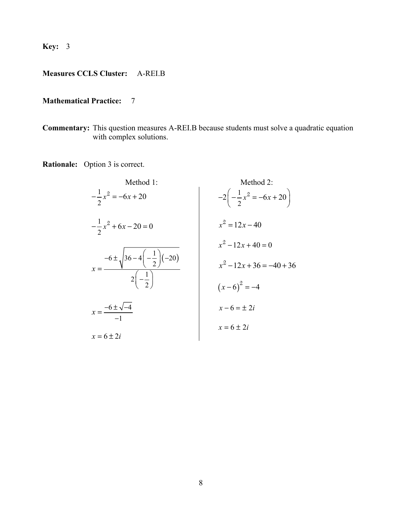# **Measures CCLS Cluster:** A-REI.B

## **Mathematical Practice:** 7

**Commentary:** This question measures A-REI.B because students must solve a quadratic equation with complex solutions.

**Rationale:** Option 3 is correct.

Method 1:  
\n
$$
-\frac{1}{2}x^2 = -6x + 20
$$
  
\n $-\frac{1}{2}x^2 + 6x - 20 = 0$   
\n $x = \frac{-6 \pm \sqrt{-4}}{-1}$   
\n $x = 6 \pm 2i$   
\n $x = 6 \pm 2i$   
\n $x = 6 \pm 2i$   
\n $x = 6 \pm 2i$   
\n $x = 6 \pm 2i$   
\n $x = 6 \pm 2i$   
\n $x = 6 \pm 2i$   
\n $x = 6 \pm 2i$   
\n $x = 6 \pm 2i$   
\n $x = 6 \pm 2i$   
\n $x = 6 \pm 2i$   
\n $x = 6 \pm 2i$   
\n $x = 6 \pm 2i$   
\n $x = 6 \pm 2i$   
\n $x = 6 \pm 2i$   
\n $x = 6 \pm 2i$   
\n $x = 6 \pm 2i$   
\n $x = 6 \pm 2i$   
\n $x = 6 \pm 2i$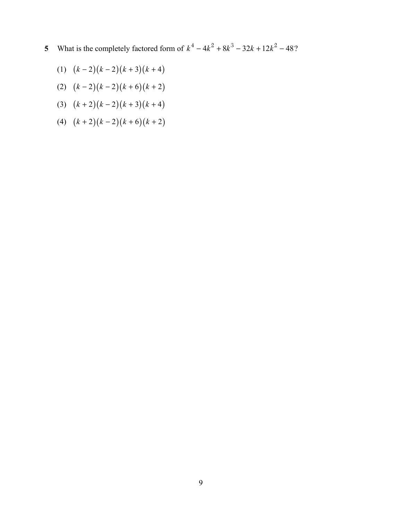- **5** What is the completely factored form of  $k^4 4k^2 + 8k^3 32k + 12k^2 48$ ?
	- (1)  $(k-2)(k-2)(k+3)(k+4)$
	- (2)  $(k-2)(k-2)(k+6)(k+2)$
	- (3)  $(k+2)(k-2)(k+3)(k+4)$
	- (4)  $(k+2)(k-2)(k+6)(k+2)$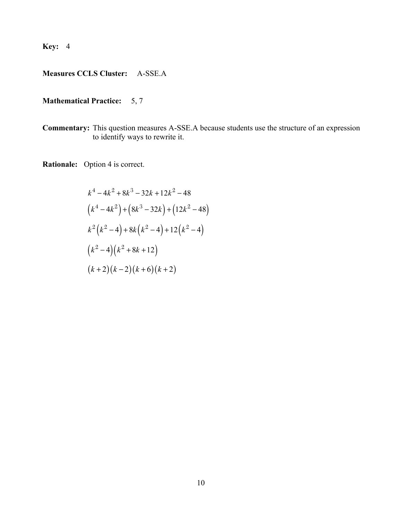# **Measures CCLS Cluster:** A-SSE.A

## **Mathematical Practice:** 5, 7

**Commentary:** This question measures A-SSE.A because students use the structure of an expression to identify ways to rewrite it.

**Rationale:** Option 4 is correct.

$$
k^{4} - 4k^{2} + 8k^{3} - 32k + 12k^{2} - 48
$$
  
\n
$$
(k^{4} - 4k^{2}) + (8k^{3} - 32k) + (12k^{2} - 48)
$$
  
\n
$$
k^{2}(k^{2} - 4) + 8k(k^{2} - 4) + 12(k^{2} - 4)
$$
  
\n
$$
(k^{2} - 4)(k^{2} + 8k + 12)
$$
  
\n
$$
(k+2)(k-2)(k+6)(k+2)
$$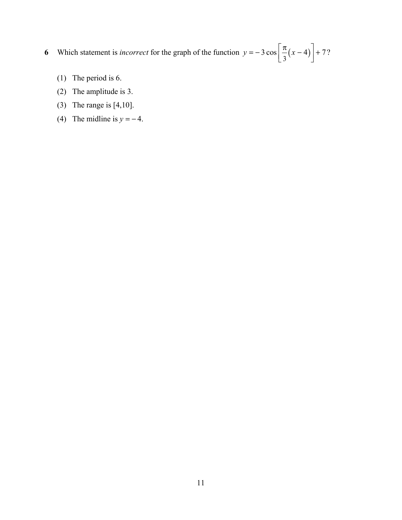**6** Which statement is *incorrect* for the graph of the function  $y = -3 \cos \left[ \frac{\pi}{3} (x - 4) \right] + 7$ ?

- (1) The period is 6.
- (2) The amplitude is 3.
- (3) The range is [4,10].
- (4) The midline is  $y = -4$ .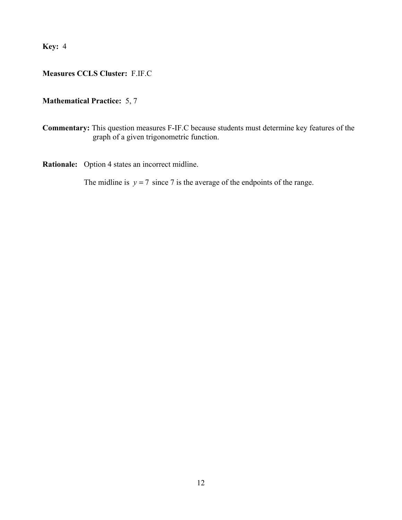# **Measures CCLS Cluster:** F.IF.C

## **Mathematical Practice:** 5, 7

**Commentary:** This question measures F-IF.C because students must determine key features of the graph of a given trigonometric function.

**Rationale:** Option 4 states an incorrect midline.

The midline is  $y = 7$  since 7 is the average of the endpoints of the range.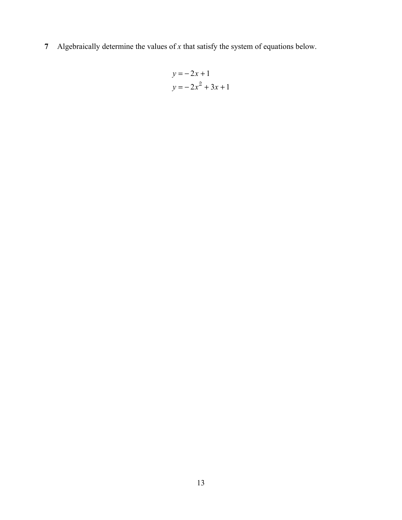**7** Algebraically determine the values of *x* that satisfy the system of equations below.

$$
y = -2x + 1
$$

$$
y = -2x2 + 3x + 1
$$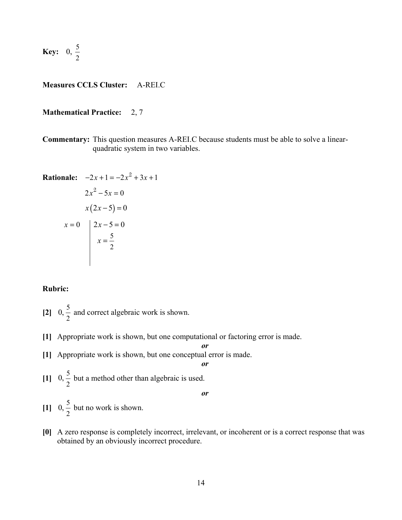**Key:** 0,  $\frac{5}{5}$ 2

#### **Measures CCLS Cluster:** A-REI.C

#### **Mathematical Practice:** 2, 7

**Commentary:** This question measures A-REI.C because students must be able to solve a linearquadratic system in two variables.

**Rational:** 
$$
-2x + 1 = -2x^2 + 3x + 1
$$
  
\n $2x^2 - 5x = 0$   
\n $x(2x - 5) = 0$   
\n $x = 0$   $\begin{cases} 2x - 5 = 0 \\ x = \frac{5}{2} \end{cases}$ 

#### **Rubric:**

- [2]  $0, \frac{5}{2}$  and correct algebraic work is shown.
- **[1]** Appropriate work is shown, but one computational or factoring error is made.
- **[1]** Appropriate work is shown, but one conceptual error is made.

[1] 
$$
0, \frac{5}{2}
$$
 but a method other than algebraic is used.

*or*

*or*

*or*

- [1]  $0, \frac{5}{2}$  but no work is shown.
- **[0]** A zero response is completely incorrect, irrelevant, or incoherent or is a correct response that was obtained by an obviously incorrect procedure.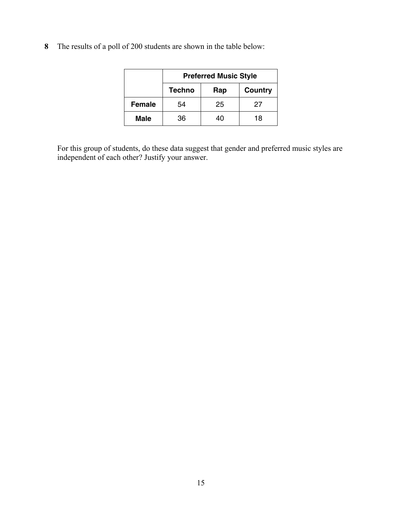**8** The results of a poll of 200 students are shown in the table below:

|               | <b>Preferred Music Style</b> |     |         |
|---------------|------------------------------|-----|---------|
|               | <b>Techno</b>                | Rap | Country |
| <b>Female</b> | 54                           | 25  | 27      |
| <b>Male</b>   | 36                           | 40  | 18      |

For this group of students, do these data suggest that gender and preferred music styles are independent of each other? Justify your answer.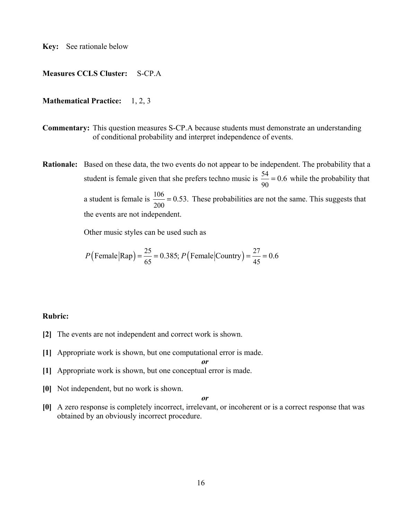**Key:** See rationale below

#### **Measures CCLS Cluster:** S-CP.A

#### **Mathematical Practice:** 1, 2, 3

- **Commentary:** This question measures S-CP.A because students must demonstrate an understanding of conditional probability and interpret independence of events.
- **Rationale:** Based on these data, the two events do not appear to be independent. The probability that a student is female given that she prefers techno music is  $\frac{54}{90} = 0.6$  while the probability that a student is female is  $\frac{106}{200} = 0.53$ . These probabilities are not the same. This suggests that the events are not independent.

Other music styles can be used such as

$$
P(\text{Female}|\text{Rap}) = \frac{25}{65} = 0.385; P(\text{Female}|\text{Country}) = \frac{27}{45} = 0.6
$$

#### **Rubric:**

- **[2]** The events are not independent and correct work is shown.
- **[1]** Appropriate work is shown, but one computational error is made.

*or*

- **[1]** Appropriate work is shown, but one conceptual error is made.
- **[0]** Not independent, but no work is shown.

#### *or*

**[0]** A zero response is completely incorrect, irrelevant, or incoherent or is a correct response that was obtained by an obviously incorrect procedure.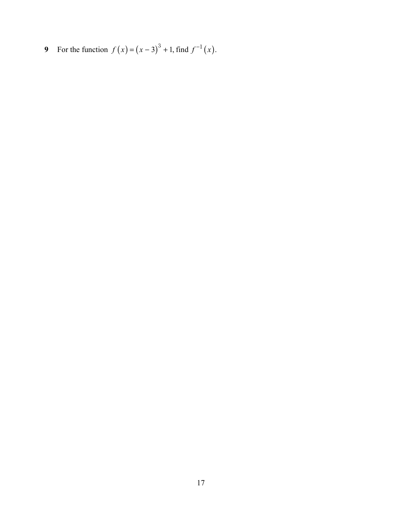**9** For the function  $f(x) = (x - 3)^3 + 1$ , find  $f^{-1}(x)$ .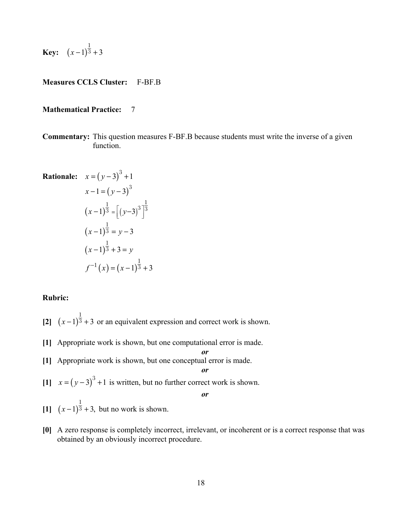**Key:** 
$$
(x-1)^{\frac{1}{3}}+3
$$

#### **Measures CCLS Cluster:** F-BF.B

#### **Mathematical Practice:** 7

**Commentary:** This question measures F-BF.B because students must write the inverse of a given function.

**Rationale:** 
$$
x = (y-3)^3 + 1
$$
  
\n $x-1 = (y-3)^3$   
\n $(x-1)^{\frac{1}{3}} = [(y-3)^3]^{\frac{1}{3}}$   
\n $(x-1)^{\frac{1}{3}} = y-3$   
\n $(x-1)^{\frac{1}{3}} + 3 = y$   
\n $f^{-1}(x) = (x-1)^{\frac{1}{3}} + 3$ 

#### **Rubric:**

- $\left[ 2 \right]$   $(x-1)^{\frac{1}{3}} + 3$ 1  $\sqrt{3} + 3$  or an equivalent expression and correct work is shown.
- **[1]** Appropriate work is shown, but one computational error is made.
- **[1]** Appropriate work is shown, but one conceptual error is made. *or*
- [1]  $x = (y-3)^3 + 1$  is written, but no further correct work is shown.

*or*

*or*

- $[1]$   $(x-1)^3 + 3$ , 1  $\overline{3} + 3$ , but no work is shown.
- **[0]** A zero response is completely incorrect, irrelevant, or incoherent or is a correct response that was obtained by an obviously incorrect procedure.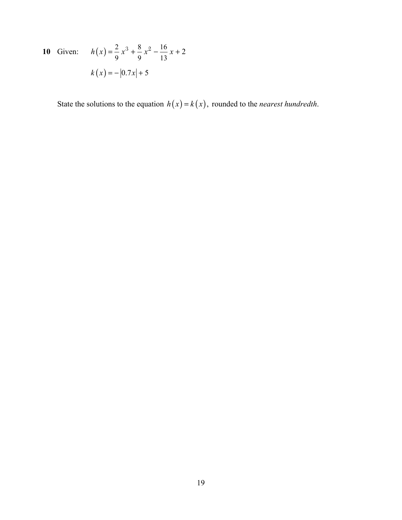## **10** Given:  $h(x) = \frac{2}{9}x^3 + \frac{8}{9}x^2 - \frac{16}{12}$ 9 9 13  $h(x) = \frac{2}{3}x^3 + \frac{8}{3}x^2 - \frac{16}{12}x + 2$  $k(x) = -|0.7x| + 5$

State the solutions to the equation  $h(x) = k(x)$ , rounded to the *nearest hundredth*.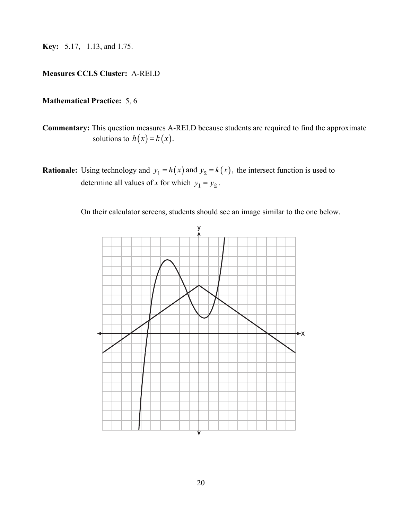**Key:** –5.17, –1.13, and 1.75.

## **Measures CCLS Cluster:** A-REI.D

### **Mathematical Practice:** 5, 6

- **Commentary:** This question measures A-REI.D because students are required to find the approximate solutions to  $h(x) = k(x)$ .
- **Rationale:** Using technology and  $y_1 = h(x)$  and  $y_2 = k(x)$ , the intersect function is used to determine all values of *x* for which  $y_1 = y_2$ .

On their calculator screens, students should see an image similar to the one below.

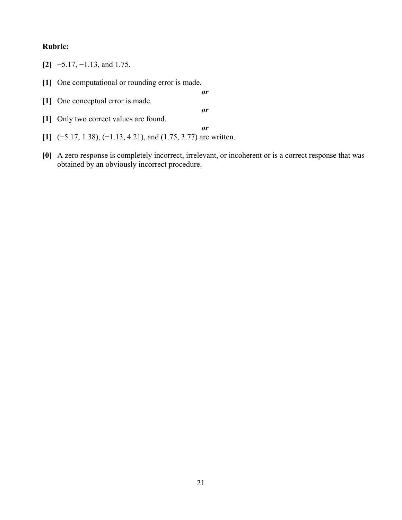## **Rubric:**

|  | $[2]$ -5.17, -1.13, and 1.75. |
|--|-------------------------------|
|  |                               |

**[1]** One computational or rounding error is made.

*or* **[1]** One conceptual error is made. *or* **[1]** Only two correct values are found.

- **[1]** (−5.17, 1.38), (**−**1.13, 4.21), and (1.75, 3.77) are written.
- **[0]** A zero response is completely incorrect, irrelevant, or incoherent or is a correct response that was obtained by an obviously incorrect procedure.

*or*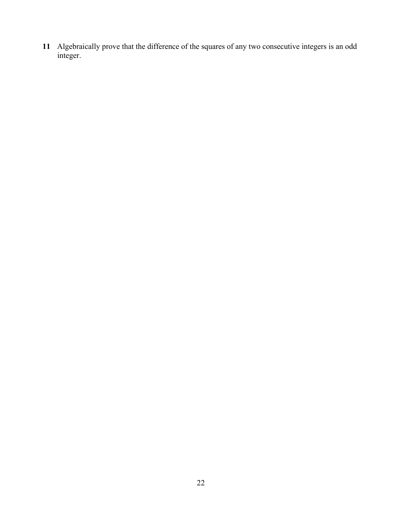Algebraically prove that the difference of the squares of any two consecutive integers is an odd integer.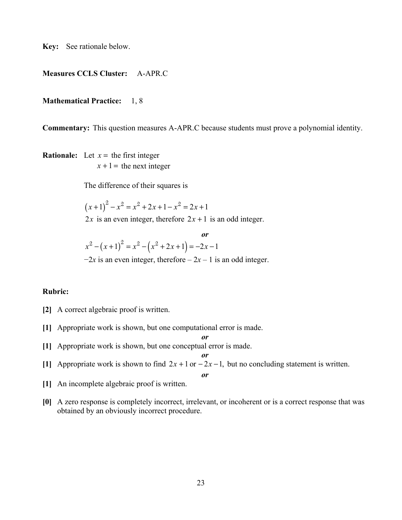**Key:** See rationale below.

#### **Measures CCLS Cluster:** A-APR.C

#### **Mathematical Practice:** 1, 8

**Commentary:** This question measures A-APR.C because students must prove a polynomial identity.

**Rationale:** Let  $x =$  the first integer  $x + 1$  = the next integer

The difference of their squares is

$$
(x+1)^2 - x^2 = x^2 + 2x + 1 - x^2 = 2x + 1
$$

2*x* is an even integer, therefore  $2x + 1$  is an odd integer.

$$
x^{2} - (x+1)^{2} = x^{2} - (x^{2} + 2x + 1) = -2x - 1
$$

 $-2x$  is an even integer, therefore  $-2x - 1$  is an odd integer.

#### **Rubric:**

- **[2]** A correct algebraic proof is written.
- **[1]** Appropriate work is shown, but one computational error is made.
- **[1]** Appropriate work is shown, but one conceptual error is made.

[1] Approximate work is shown to find 
$$
2x + 1
$$
 or  $-2x - 1$ , but no concluding statement is written.

$$
\boldsymbol{\mathit{or}}
$$

*or*

*or*

- **[1]** An incomplete algebraic proof is written.
- **[0]** A zero response is completely incorrect, irrelevant, or incoherent or is a correct response that was obtained by an obviously incorrect procedure.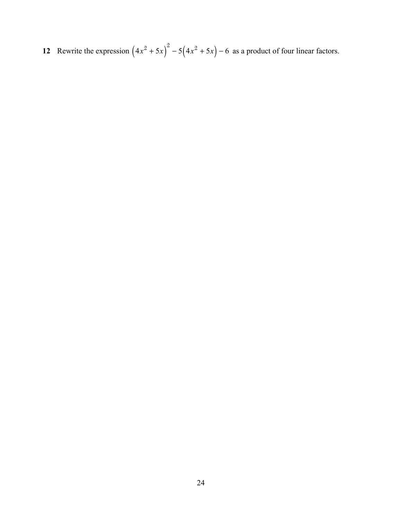**12** Rewrite the expression  $(4x^2 + 5x)^2 - 5(4x^2 + 5x) - 6$  as a product of four linear factors.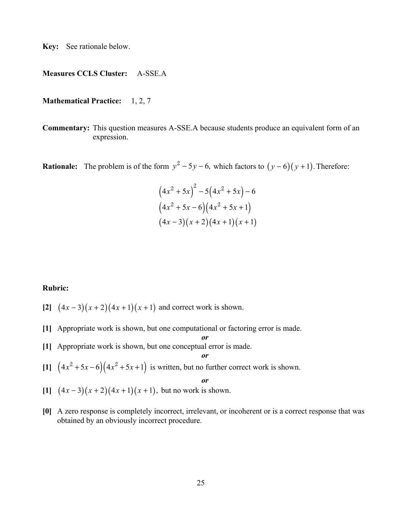**Key:** See rationale below.

#### **Measures CCLS Cluster:** A-SSE.A

**Mathematical Practice:** 1, 2, 7

**Commentary:** This question measures A-SSE.A because students produce an equivalent form of an expression.

**Rationale:** The problem is of the form  $y^2 - 5y - 6$ , which factors to  $(y - 6)(y + 1)$ . Therefore:

$$
(4x2 + 5x)2 - 5(4x2 + 5x) - 6
$$
  

$$
(4x2 + 5x - 6)(4x2 + 5x + 1)
$$
  

$$
(4x - 3)(x + 2)(4x + 1)(x + 1)
$$

**Rubric:**

- $[2]$   $(4x-3)(x+2)(4x+1)(x+1)$  and correct work is shown.
- **[1]** Appropriate work is shown, but one computational or factoring error is made.

**[1]** Appropriate work is shown, but one conceptual error is made.

$$
\boldsymbol{\theta}^r
$$

*or*

[1]  $(4x^2 + 5x - 6)(4x^2 + 5x + 1)$  is written, but no further correct work is shown.

*or*

- $[1]$   $(4x-3)(x+2)(4x+1)(x+1)$ , but no work is shown.
- **[0]** A zero response is completely incorrect, irrelevant, or incoherent or is a correct response that was obtained by an obviously incorrect procedure.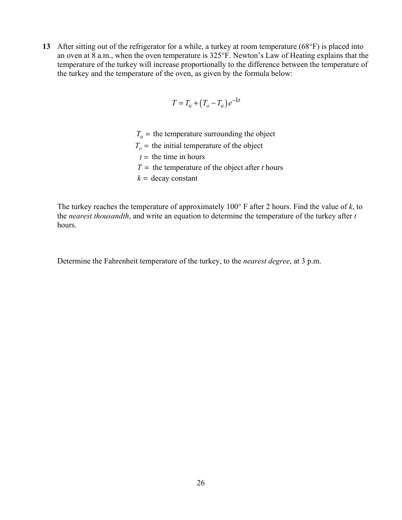**13** After sitting out of the refrigerator for a while, a turkey at room temperature (68°F) is placed into an oven at 8 a.m., when the oven temperature is 325°F. Newton's Law of Heating explains that the temperature of the turkey will increase proportionally to the difference between the temperature of the turkey and the temperature of the oven, as given by the formula below:

$$
T = T_a + (T_o - T_a)e^{-kt}
$$

- $T_a$  = the temperature surrounding the object
- $T<sub>o</sub>$  = the initial temperature of the object
- $t =$  the time in hours
- $T =$  the temperature of the object after *t* hours
- $k =$  decay constant

The turkey reaches the temperature of approximately 100° F after 2 hours. Find the value of *k*, to the *nearest thousandth*, and write an equation to determine the temperature of the turkey after *t* hours.

Determine the Fahrenheit temperature of the turkey, to the *nearest degree*, at 3 p.m.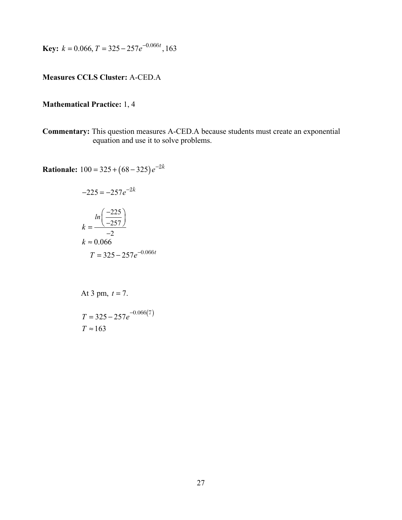**Key:**  $k = 0.066, T = 325 - 257e^{-0.066t}, 163$ 

## **Measures CCLS Cluster:** A-CED.A

## **Mathematical Practice:** 1, 4

**Commentary:** This question measures A-CED.A because students must create an exponential equation and use it to solve problems.

**Rationale:**  $100 = 325 + (68 - 325)e^{-2k}$ 

$$
-225 = -257e^{-2k}
$$

$$
k = \frac{\ln\left(\frac{-225}{-257}\right)}{-2}
$$

$$
k \approx 0.066
$$

$$
T = 325 - 257e^{-0.066t}
$$

At 3 pm, 
$$
t = 7
$$
.

 $T = 325 - 257e^{-0.066(7)}$  $T \approx 163$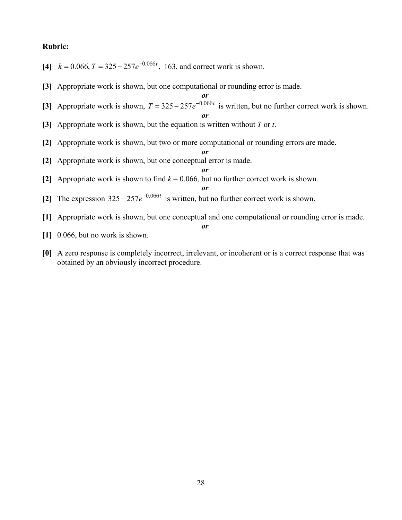#### **Rubric:**

- **[4]**  $k = 0.066$ ,  $T = 325 257e^{-0.066t}$ , 163, and correct work is shown.
- **[3]** Appropriate work is shown, but one computational or rounding error is made.
- *or* [3] Appropriate work is shown,  $T = 325 - 257e^{-0.066t}$  is written, but no further correct work is shown.

*or*

- **[3]** Appropriate work is shown, but the equation is written without *T* or *t*.
- **[2]** Appropriate work is shown, but two or more computational or rounding errors are made.
- **[2]** Appropriate work is shown, but one conceptual error is made.
- *or* **[2]** Appropriate work is shown to find *k* = 0.066, but no further correct work is shown.

*or*

*or*

- [2] The expression  $325 257e^{-0.066t}$  is written, but no further correct work is shown.
- **[1]** Appropriate work is shown, but one conceptual and one computational or rounding error is made. *or*
- **[1]** 0.066, but no work is shown.
- **[0]** A zero response is completely incorrect, irrelevant, or incoherent or is a correct response that was obtained by an obviously incorrect procedure.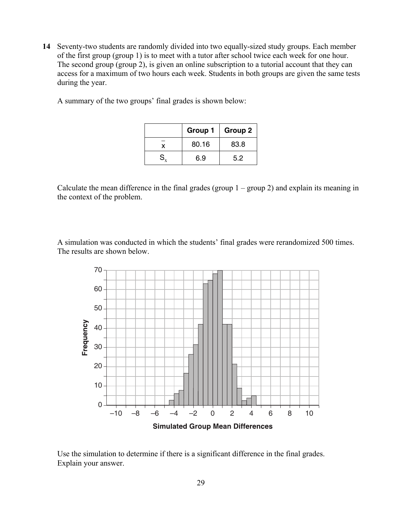**14** Seventy-two students are randomly divided into two equally-sized study groups. Each member of the first group (group 1) is to meet with a tutor after school twice each week for one hour. The second group (group 2), is given an online subscription to a tutorial account that they can access for a maximum of two hours each week. Students in both groups are given the same tests during the year.

|    | Group 1 | Group 2 |
|----|---------|---------|
|    | 80.16   | 83.8    |
| S. | 6.9     | 5.2     |

A summary of the two groups' final grades is shown below:

Calculate the mean difference in the final grades (group  $1 -$  group 2) and explain its meaning in the context of the problem.

A simulation was conducted in which the students' final grades were rerandomized 500 times. The results are shown below.



Use the simulation to determine if there is a significant difference in the final grades. Explain your answer.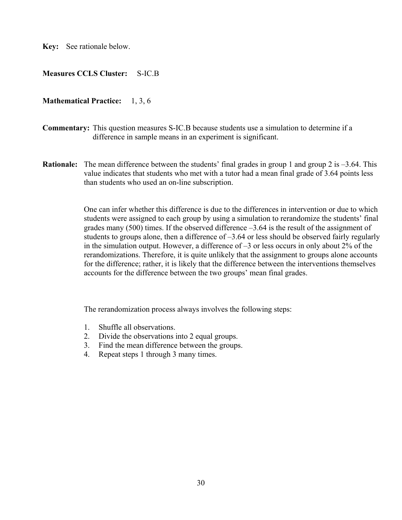**Key:** See rationale below.

### **Measures CCLS Cluster:** S-IC.B

#### **Mathematical Practice:** 1, 3, 6

- **Commentary:** This question measures S-IC.B because students use a simulation to determine if a difference in sample means in an experiment is significant.
- **Rationale:** The mean difference between the students' final grades in group 1 and group 2 is –3.64. This value indicates that students who met with a tutor had a mean final grade of 3.64 points less than students who used an on-line subscription.

One can infer whether this difference is due to the differences in intervention or due to which students were assigned to each group by using a simulation to rerandomize the students' final grades many  $(500)$  times. If the observed difference  $-3.64$  is the result of the assignment of students to groups alone, then a difference of –3.64 or less should be observed fairly regularly in the simulation output. However, a difference of –3 or less occurs in only about 2% of the rerandomizations. Therefore, it is quite unlikely that the assignment to groups alone accounts for the difference; rather, it is likely that the difference between the interventions themselves accounts for the difference between the two groups' mean final grades.

The rerandomization process always involves the following steps:

- 1. Shuffle all observations.
- 2. Divide the observations into 2 equal groups.
- 3. Find the mean difference between the groups.
- 4. Repeat steps 1 through 3 many times.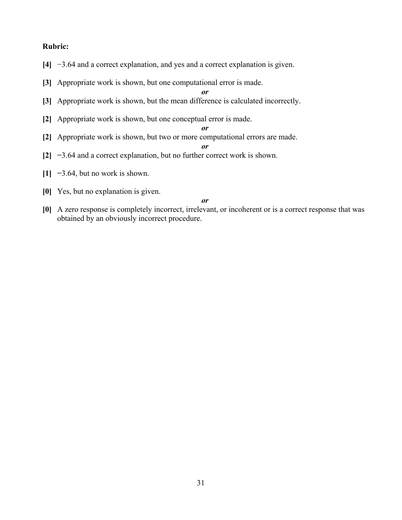### **Rubric:**

- **[4]** −3.64 and a correct explanation, and yes and a correct explanation is given.
- **[3]** Appropriate work is shown, but one computational error is made.

*or*

- **[3]** Appropriate work is shown, but the mean difference is calculated incorrectly.
- **[2]** Appropriate work is shown, but one conceptual error is made.
- **[2]** Appropriate work is shown, but two or more computational errors are made.

*or*

*or*

- **[2] −**3.64 and a correct explanation, but no further correct work is shown.
- **[1] −**3.64, but no work is shown.
- **[0]** Yes, but no explanation is given.

*or*

**[0]** A zero response is completely incorrect, irrelevant, or incoherent or is a correct response that was obtained by an obviously incorrect procedure.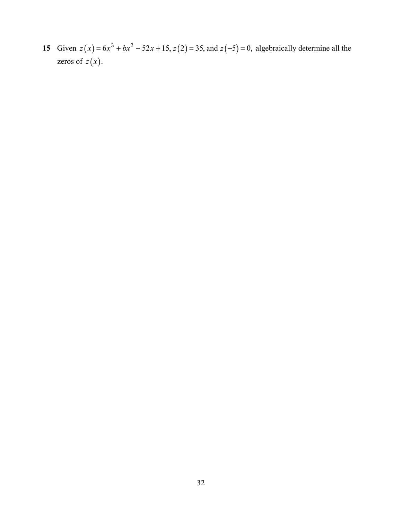**15** Given  $z(x) = 6x^3 + bx^2 - 52x + 15$ ,  $z(2) = 35$ , and  $z(-5) = 0$ , algebraically determine all the zeros of  $z(x)$ .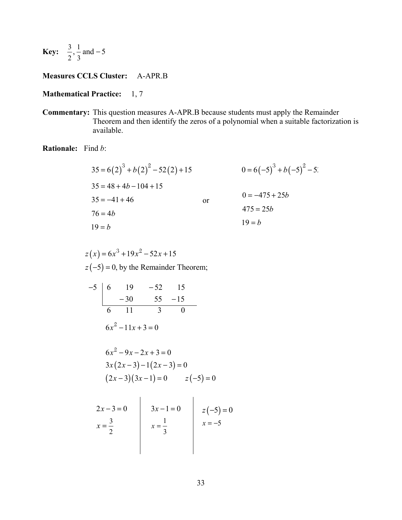**Key:** 
$$
\frac{3}{2}, \frac{1}{3}
$$
 and -5

### **Measures CCLS Cluster:** A-APR.B

#### **Mathematical Practice:** 1, 7

**Commentary:** This question measures A-APR.B because students must apply the Remainder Theorem and then identify the zeros of a polynomial when a suitable factorization is available.

### **Rationale:** Find *b*:

$$
35 = 6(2)^{3} + b(2)^{2} - 52(2) + 15
$$
  
\n
$$
35 = 48 + 4b - 104 + 15
$$
  
\n
$$
35 = -41 + 46
$$
  
\n
$$
76 = 4b
$$
  
\n
$$
19 = b
$$
  
\n
$$
19 = b
$$
  
\n
$$
0 = 6(-5)^{3} + b(-5)^{2} - 5
$$
  
\n
$$
0 = -475 + 25b
$$
  
\n
$$
475 = 25b
$$
  
\n
$$
19 = b
$$

$$
z(x) = 6x^3 + 19x^2 - 52x + 15
$$
  
  $z(-5) = 0$ , by the Remainder Theorem;

$$
\begin{array}{c|ccccc}\n-5 & 6 & 19 & -52 & 15 \\
 & & -30 & 55 & -15 \\
\hline\n6 & 11 & 3 & 0 \\
 & & 6x^2 - 11x + 3 = 0\n\end{array}
$$

$$
6x2 - 9x - 2x + 3 = 0
$$
  
3x(2x-3)-1(2x-3) = 0  
(2x-3)(3x-1) = 0 z(-5) = 0

$$
2x-3=0
$$
  

$$
x = \frac{3}{2}
$$
  

$$
3x-1=0
$$
  

$$
x = \frac{1}{3}
$$
  

$$
x = -5
$$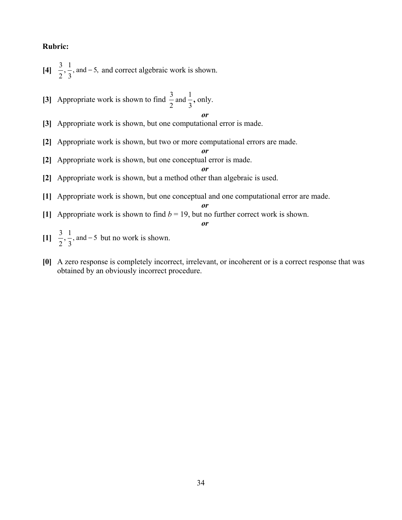#### **Rubric:**

- $[4] \frac{3}{2}, \frac{1}{3}$ , and -5,  $2^{\prime}$  3  $,\frac{1}{2}$ , and  $-5$ , and correct algebraic work is shown.
- [3] Appropriate work is shown to find  $\frac{3}{2}$  and  $\frac{1}{3}$ , only.

*or*

- **[3]** Appropriate work is shown, but one computational error is made.
- **[2]** Appropriate work is shown, but two or more computational errors are made.
- **[2]** Appropriate work is shown, but one conceptual error is made.

*or*

*or*

- **[2]** Appropriate work is shown, but a method other than algebraic is used.
- **[1]** Appropriate work is shown, but one conceptual and one computational error are made.

*or*

**[1]** Appropriate work is shown to find  $b = 19$ , but no further correct work is shown.

*or*

- $[1] \frac{3}{2}, \frac{1}{3}$ , and -5  $2^2$  3  $,\frac{1}{2},$  and  $-5$  but no work is shown.
- **[0]** A zero response is completely incorrect, irrelevant, or incoherent or is a correct response that was obtained by an obviously incorrect procedure.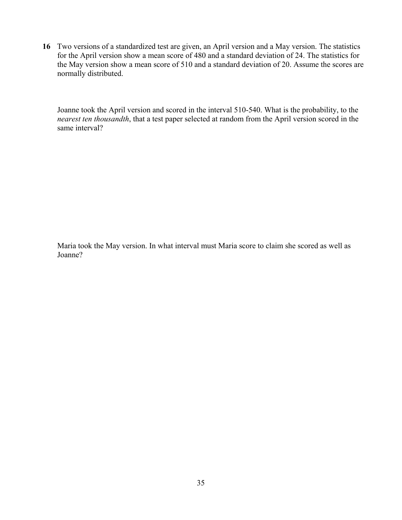**16** Two versions of a standardized test are given, an April version and a May version. The statistics for the April version show a mean score of 480 and a standard deviation of 24. The statistics for the May version show a mean score of 510 and a standard deviation of 20. Assume the scores are normally distributed.

Joanne took the April version and scored in the interval 510-540. What is the probability, to the *nearest ten thousandth*, that a test paper selected at random from the April version scored in the same interval?

Maria took the May version. In what interval must Maria score to claim she scored as well as Joanne?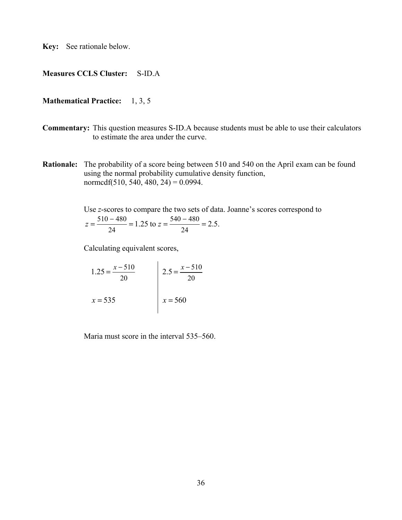**Key:** See rationale below.

#### **Measures CCLS Cluster:** S-ID.A

#### **Mathematical Practice:** 1, 3, 5

- **Commentary:** This question measures S-ID.A because students must be able to use their calculators to estimate the area under the curve.
- **Rationale:** The probability of a score being between 510 and 540 on the April exam can be found using the normal probability cumulative density function, normcdf(510, 540, 480, 24) =  $0.0994$ .

Use *z*-scores to compare the two sets of data. Joanne's scores correspond to  $510 - 480$   $1251$   $540 - 480$ 24 24  $z = \frac{510 - 480}{1.25} = 1.25$  to  $z = \frac{540 - 480}{1.25} = 2.5$ .

Calculating equivalent scores,

$$
1.25 = \frac{x - 510}{20}
$$
  
  $x = 535$   
2.5 =  $\frac{x - 510}{20}$   
  $x = 560$ 

Maria must score in the interval 535–560.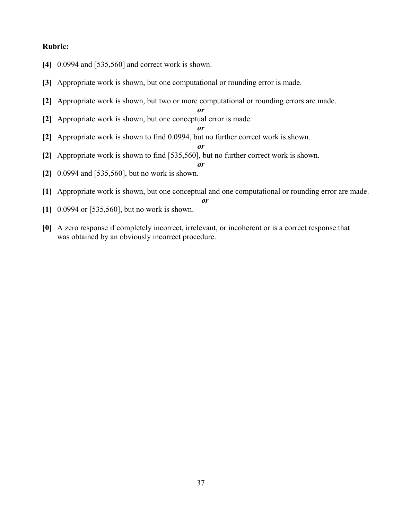#### **Rubric:**

- **[4]** 0.0994 and [535,560] and correct work is shown.
- **[3]** Appropriate work is shown, but one computational or rounding error is made.
- **[2]** Appropriate work is shown, but two or more computational or rounding errors are made.

*or*

*or*

*or*

- **[2]** Appropriate work is shown, but one conceptual error is made.
- **[2]** Appropriate work is shown to find 0.0994, but no further correct work is shown.

*or*

- **[2]** Appropriate work is shown to find [535,560], but no further correct work is shown.
- **[2]** 0.0994 and [535,560], but no work is shown.
- **[1]** Appropriate work is shown, but one conceptual and one computational or rounding error are made. *or*
- **[1]** 0.0994 or [535,560], but no work is shown.
- **[0]** A zero response if completely incorrect, irrelevant, or incoherent or is a correct response that was obtained by an obviously incorrect procedure.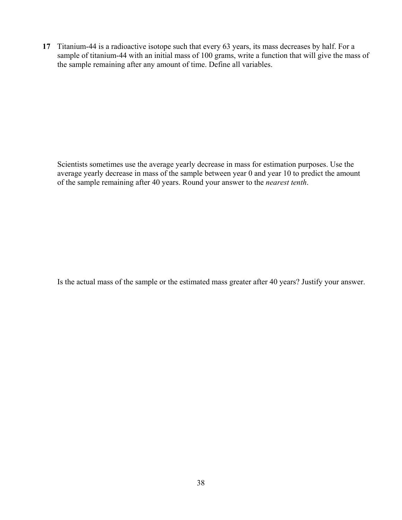**17** Titanium-44 is a radioactive isotope such that every 63 years, its mass decreases by half. For a sample of titanium-44 with an initial mass of 100 grams, write a function that will give the mass of the sample remaining after any amount of time. Define all variables.

Scientists sometimes use the average yearly decrease in mass for estimation purposes. Use the average yearly decrease in mass of the sample between year 0 and year 10 to predict the amount of the sample remaining after 40 years. Round your answer to the *nearest tenth*.

Is the actual mass of the sample or the estimated mass greater after 40 years? Justify your answer.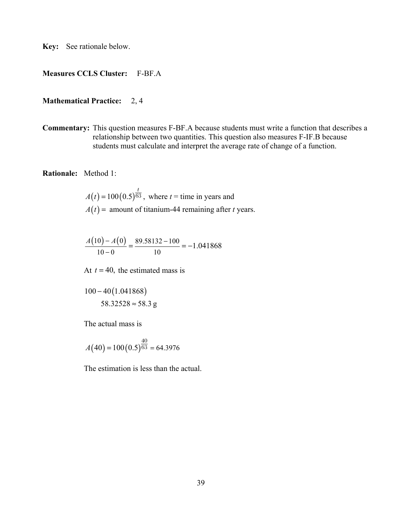**Key:** See rationale below.

## **Measures CCLS Cluster:** F-BF.A

#### **Mathematical Practice:** 2, 4

**Commentary:** This question measures F-BF.A because students must write a function that describes a relationship between two quantities. This question also measures F-IF.B because students must calculate and interpret the average rate of change of a function.

**Rationale:** Method 1:

$$
A(t) = 100(0.5)^{\frac{t}{63}}
$$
, where  $t$  = time in years and  

$$
A(t) =
$$
amount of titanium-44 remaining after *t* years.

$$
\frac{A(10) - A(0)}{10 - 0} = \frac{89.58132 - 100}{10} = -1.041868
$$

At  $t = 40$ , the estimated mass is

$$
100 - 40(1.041868)
$$
  

$$
58.32528 \approx 58.3 \text{ g}
$$

The actual mass is

$$
A(40) = 100(0.5)^{\frac{40}{63}} = 64.3976
$$

The estimation is less than the actual.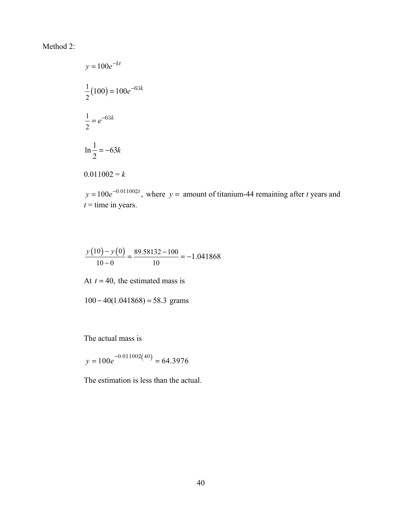## Method 2:

$$
y = 100e^{-kt}
$$
  

$$
\frac{1}{2}(100) = 100e^{-63k}
$$
  

$$
\frac{1}{2} = e^{-63k}
$$
  

$$
\ln \frac{1}{2} = -63k
$$
  

$$
0.011002 = k
$$

 $y = 100e^{-0.011002t}$ , where  $y =$  amount of titanium-44 remaining after *t* years and  $t =$  time in years.

$$
\frac{y(10) - y(0)}{10 - 0} = \frac{89.58132 - 100}{10} = -1.041868
$$

At  $t = 40$ , the estimated mass is

 $100 - 40(1.041868) \approx 58.3$  grams

The actual mass is

 $y = 100e^{-0.011002(40)} = 64.3976$ 

The estimation is less than the actual.